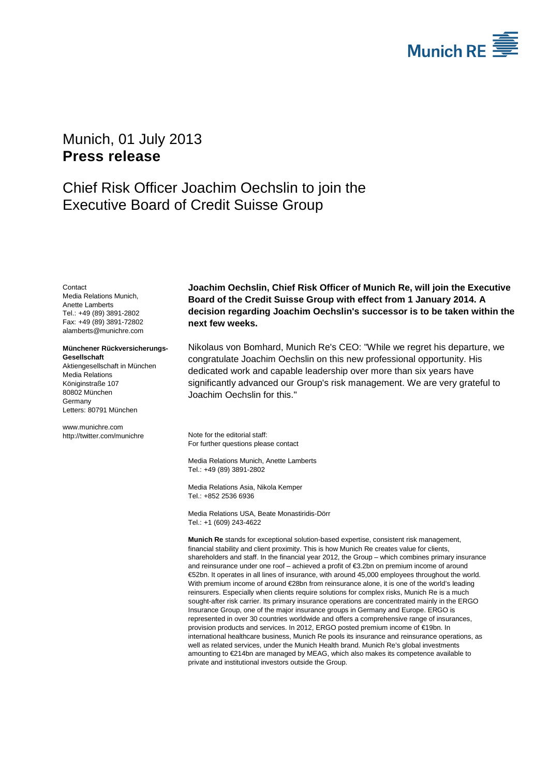

# <span id="page-0-3"></span><span id="page-0-2"></span>Munich, 01 July 2013 **Press release**

# Chief Risk Officer Joachim Oechslin to join the Executive Board of Credit Suisse Group

<span id="page-0-1"></span><span id="page-0-0"></span>**Contact** Media Relations Munich, Anette Lamberts Tel.: +49 (89) 3891-2802 Fax: +49 (89) 3891-72802 alamberts@munichre.com

### **Münchener Rückversicherungs-Gesellschaft**

Aktiengesellschaft in München Media Relations Königinstraße 107 80802 München Germany Letters: 80791 München

www.munichre.com http://twitter.com/munichre **Joachim Oechslin, Chief Risk Officer of Munich Re, will join the Executive Board of the Credit Suisse Group with effect from 1 January 2014. A decision regarding Joachim Oechslin's successor is to be taken within the next few weeks.**

Nikolaus von Bomhard, Munich Re's CEO: "While we regret his departure, we congratulate Joachim Oechslin on this new professional opportunity. His dedicated work and capable leadership over more than six years have significantly advanced our Group's risk management. We are very grateful to Joachim Oechslin for this."

Note for the editorial staff: For further questions please contact

Media Relations Munich[, Anette Lamberts](#page-0-0) Tel.: +49 (89) 389[1-2802](#page-0-1)

Media Relations Asia, Nikola Kemper Tel.: +852 2536 6936

Media Relations USA, Beate Monastiridis-Dörr Tel.: +1 (609) 243-4622

**Munich Re** stands for exceptional solution-based expertise, consistent risk management, financial stability and client proximity. This is how Munich Re creates value for clients, shareholders and staff. In the financial year 2012, the Group – which combines primary insurance and reinsurance under one roof – achieved a profit of €3.2bn on premium income of around €52bn. It operates in all lines of insurance, with around 45,000 employees throughout the world. With premium income of around €28bn from reinsurance alone, it is one of the world's leading reinsurers. Especially when clients require solutions for complex risks, Munich Re is a much sought-after risk carrier. Its primary insurance operations are concentrated mainly in the ERGO Insurance Group, one of the major insurance groups in Germany and Europe. ERGO is represented in over 30 countries worldwide and offers a comprehensive range of insurances, provision products and services. In 2012, ERGO posted premium income of €19bn. In international healthcare business, Munich Re pools its insurance and reinsurance operations, as well as related services, under the Munich Health brand. Munich Re's global investments amounting to €214bn are managed by MEAG, which also makes its competence available to private and institutional investors outside the Group.